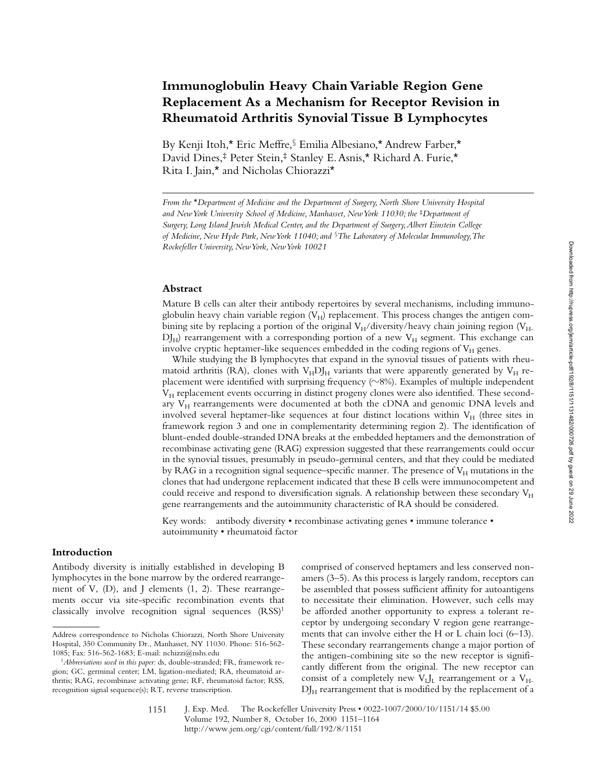# **Immunoglobulin Heavy Chain Variable Region Gene Replacement As a Mechanism for Receptor Revision in Rheumatoid Arthritis Synovial Tissue B Lymphocytes**

By Kenji Itoh,\* Eric Meffre,§ Emilia Albesiano,\* Andrew Farber,\* David Dines,‡ Peter Stein,‡ Stanley E. Asnis,\* Richard A. Furie,\* Rita I. Jain,\* and Nicholas Chiorazzi\*

*From the* \**Department of Medicine and the Department of Surgery, North Shore University Hospital and New York University School of Medicine, Manhasset, New York 11030; the* <sup>‡</sup>*Department of Surgery, Long Island Jewish Medical Center, and the Department of Surgery, Albert Einstein College of Medicine, New Hyde Park, New York 11040; and* §*The Laboratory of Molecular Immunology, The Rockefeller University, New York, New York 10021*

#### **Abstract**

Mature B cells can alter their antibody repertoires by several mechanisms, including immunoglobulin heavy chain variable region  $(V_H)$  replacement. This process changes the antigen combining site by replacing a portion of the original  $V_H/div$  ersity/heavy chain joining region ( $V_H$ - $D_{\text{H}}$ ) rearrangement with a corresponding portion of a new  $V_{\text{H}}$  segment. This exchange can involve cryptic heptamer-like sequences embedded in the coding regions of  $V_H$  genes.

While studying the B lymphocytes that expand in the synovial tissues of patients with rheumatoid arthritis (RA), clones with  $V_{H}DJ_{H}$  variants that were apparently generated by  $V_{H}$  replacement were identified with surprising frequency  $(\sim 8\%)$ . Examples of multiple independent  $V_H$  replacement events occurring in distinct progeny clones were also identified. These secondary  $V_H$  rearrangements were documented at both the cDNA and genomic DNA levels and involved several heptamer-like sequences at four distinct locations within  $V_H$  (three sites in framework region 3 and one in complementarity determining region 2). The identification of blunt-ended double-stranded DNA breaks at the embedded heptamers and the demonstration of recombinase activating gene (RAG) expression suggested that these rearrangements could occur in the synovial tissues, presumably in pseudo-germinal centers, and that they could be mediated by RAG in a recognition signal sequence–specific manner. The presence of  $V_H$  mutations in the clones that had undergone replacement indicated that these B cells were immunocompetent and could receive and respond to diversification signals. A relationship between these secondary  $V_{H}$ gene rearrangements and the autoimmunity characteristic of RA should be considered.

Key words: antibody diversity • recombinase activating genes • immune tolerance • autoimmunity • rheumatoid factor

### **Introduction**

Antibody diversity is initially established in developing B lymphocytes in the bone marrow by the ordered rearrangement of V,  $(D)$ , and J elements  $(1, 2)$ . These rearrangements occur via site-specific recombination events that classically involve recognition signal sequences (RSS)1

comprised of conserved heptamers and less conserved nonamers (3–5). As this process is largely random, receptors can be assembled that possess sufficient affinity for autoantigens to necessitate their elimination. However, such cells may be afforded another opportunity to express a tolerant receptor by undergoing secondary V region gene rearrangements that can involve either the H or L chain loci (6–13). These secondary rearrangements change a major portion of the antigen-combining site so the new receptor is significantly different from the original. The new receptor can consist of a completely new  $V_{L}J_{L}$  rearrangement or a  $V_{H}$  $DJ<sub>H</sub>$  rearrangement that is modified by the replacement of a

Address correspondence to Nicholas Chiorazzi, North Shore University Hospital, 350 Community Dr., Manhasset, NY 11030. Phone: 516-562- 1085; Fax: 516-562-1683; E-mail: nchizzi@nshs.edu

<sup>1</sup>*Abbreviations used in this paper:* ds, double-stranded; FR, framework region; GC, germinal center; LM, ligation-mediated; RA, rheumatoid arthritis; RAG, recombinase activating gene; RF, rheumatoid factor; RSS, recognition signal sequence(s); RT, reverse transcription.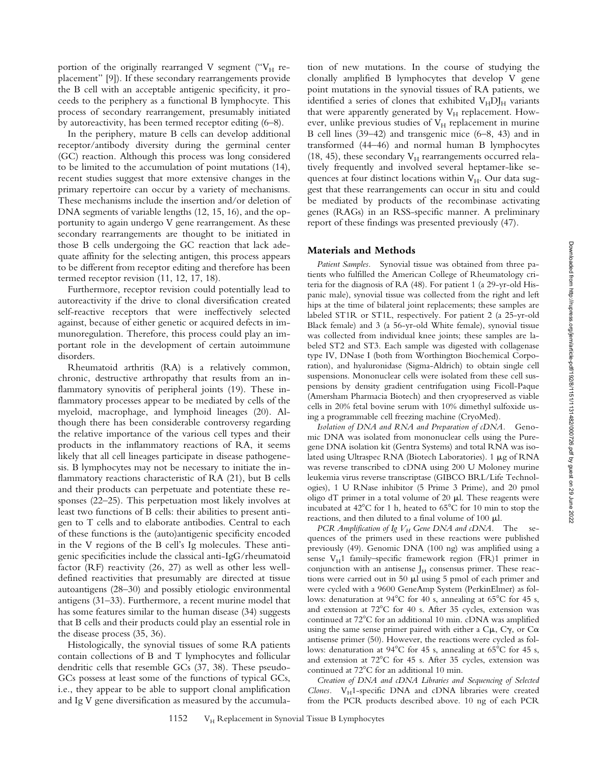Downloaded from http://rupress.org/jem/article-pdf/192/8/1151/11131482/000726.pdf by guest on 29 June 2022 Downloaded from http://rupress.org/jem/article-pdf/192/8/1151/1131482/000726.pdf by guest on 29 June 2022

portion of the originally rearranged V segment (" $V_H$  replacement" [9]). If these secondary rearrangements provide the B cell with an acceptable antigenic specificity, it proceeds to the periphery as a functional B lymphocyte. This process of secondary rearrangement, presumably initiated by autoreactivity, has been termed receptor editing (6–8).

In the periphery, mature B cells can develop additional receptor/antibody diversity during the germinal center (GC) reaction. Although this process was long considered to be limited to the accumulation of point mutations (14), recent studies suggest that more extensive changes in the primary repertoire can occur by a variety of mechanisms. These mechanisms include the insertion and/or deletion of DNA segments of variable lengths (12, 15, 16), and the opportunity to again undergo V gene rearrangement. As these secondary rearrangements are thought to be initiated in those B cells undergoing the GC reaction that lack adequate affinity for the selecting antigen, this process appears to be different from receptor editing and therefore has been termed receptor revision (11, 12, 17, 18).

Furthermore, receptor revision could potentially lead to autoreactivity if the drive to clonal diversification created self-reactive receptors that were ineffectively selected against, because of either genetic or acquired defects in immunoregulation. Therefore, this process could play an important role in the development of certain autoimmune disorders.

Rheumatoid arthritis (RA) is a relatively common, chronic, destructive arthropathy that results from an inflammatory synovitis of peripheral joints (19). These inflammatory processes appear to be mediated by cells of the myeloid, macrophage, and lymphoid lineages (20). Although there has been considerable controversy regarding the relative importance of the various cell types and their products in the inflammatory reactions of RA, it seems likely that all cell lineages participate in disease pathogenesis. B lymphocytes may not be necessary to initiate the inflammatory reactions characteristic of RA (21), but B cells and their products can perpetuate and potentiate these responses (22–25). This perpetuation most likely involves at least two functions of B cells: their abilities to present antigen to T cells and to elaborate antibodies. Central to each of these functions is the (auto)antigenic specificity encoded in the V regions of the B cell's Ig molecules. These antigenic specificities include the classical anti-IgG/rheumatoid factor (RF) reactivity (26, 27) as well as other less welldefined reactivities that presumably are directed at tissue autoantigens (28–30) and possibly etiologic environmental antigens (31–33). Furthermore, a recent murine model that has some features similar to the human disease (34) suggests that B cells and their products could play an essential role in the disease process (35, 36).

Histologically, the synovial tissues of some RA patients contain collections of B and T lymphocytes and follicular dendritic cells that resemble GCs (37, 38). These pseudo-GCs possess at least some of the functions of typical GCs, i.e., they appear to be able to support clonal amplification and Ig V gene diversification as measured by the accumulation of new mutations. In the course of studying the clonally amplified B lymphocytes that develop V gene point mutations in the synovial tissues of RA patients, we identified a series of clones that exhibited  $V<sub>H</sub>DI<sub>H</sub>$  variants that were apparently generated by  $V_H$  replacement. However, unlike previous studies of  $V_H$  replacement in murine B cell lines (39–42) and transgenic mice (6–8, 43) and in transformed (44–46) and normal human B lymphocytes (18, 45), these secondary  $V_H$  rearrangements occurred relatively frequently and involved several heptamer-like sequences at four distinct locations within  $V_H$ . Our data suggest that these rearrangements can occur in situ and could be mediated by products of the recombinase activating genes (RAGs) in an RSS-specific manner. A preliminary report of these findings was presented previously (47).

## **Materials and Methods**

*Patient Samples.* Synovial tissue was obtained from three patients who fulfilled the American College of Rheumatology criteria for the diagnosis of RA (48). For patient 1 (a 29-yr-old Hispanic male), synovial tissue was collected from the right and left hips at the time of bilateral joint replacements; these samples are labeled ST1R or ST1L, respectively. For patient 2 (a 25-yr-old Black female) and 3 (a 56-yr-old White female), synovial tissue was collected from individual knee joints; these samples are labeled ST2 and ST3. Each sample was digested with collagenase type IV, DNase I (both from Worthington Biochemical Corporation), and hyaluronidase (Sigma-Aldrich) to obtain single cell suspensions. Mononuclear cells were isolated from these cell suspensions by density gradient centrifugation using Ficoll-Paque (Amersham Pharmacia Biotech) and then cryopreserved as viable cells in 20% fetal bovine serum with 10% dimethyl sulfoxide using a programmable cell freezing machine (CryoMed).

*Isolation of DNA and RNA and Preparation of cDNA.* Genomic DNA was isolated from mononuclear cells using the Puregene DNA isolation kit (Gentra Systems) and total RNA was isolated using Ultraspec RNA (Biotech Laboratories). 1 µg of RNA was reverse transcribed to cDNA using 200 U Moloney murine leukemia virus reverse transcriptase (GIBCO BRL/Life Technologies), 1 U RNase inhibitor (5 Prime 3 Prime), and 20 pmol oligo dT primer in a total volume of 20  $\mu$ l. These reagents were incubated at  $42^{\circ}$ C for 1 h, heated to  $65^{\circ}$ C for 10 min to stop the reactions, and then diluted to a final volume of 100  $\mu$ l.

*PCR Amplification of Ig V<sub>H</sub> Gene DNA and cDNA*. The sequences of the primers used in these reactions were published previously (49). Genomic DNA (100 ng) was amplified using a sense  $V_H1$  family–specific framework region (FR)1 primer in conjunction with an antisense  $J_H$  consensus primer. These reactions were carried out in 50  $\mu$ l using 5 pmol of each primer and were cycled with a 9600 GeneAmp System (PerkinElmer) as follows: denaturation at  $94^{\circ}$ C for 40 s, annealing at  $65^{\circ}$ C for 45 s, and extension at  $72^{\circ}$ C for 40 s. After 35 cycles, extension was continued at 72°C for an additional 10 min. cDNA was amplified using the same sense primer paired with either a  $C\mu$ ,  $C\gamma$ , or  $C\alpha$ antisense primer (50). However, the reactions were cycled as follows: denaturation at  $94^{\circ}$ C for 45 s, annealing at  $65^{\circ}$ C for 45 s, and extension at  $72^{\circ}$ C for 45 s. After 35 cycles, extension was continued at  $72^{\circ}$ C for an additional 10 min.

*Creation of DNA and cDNA Libraries and Sequencing of Selected Clones.*  $V_H$ 1-specific DNA and cDNA libraries were created from the PCR products described above. 10 ng of each PCR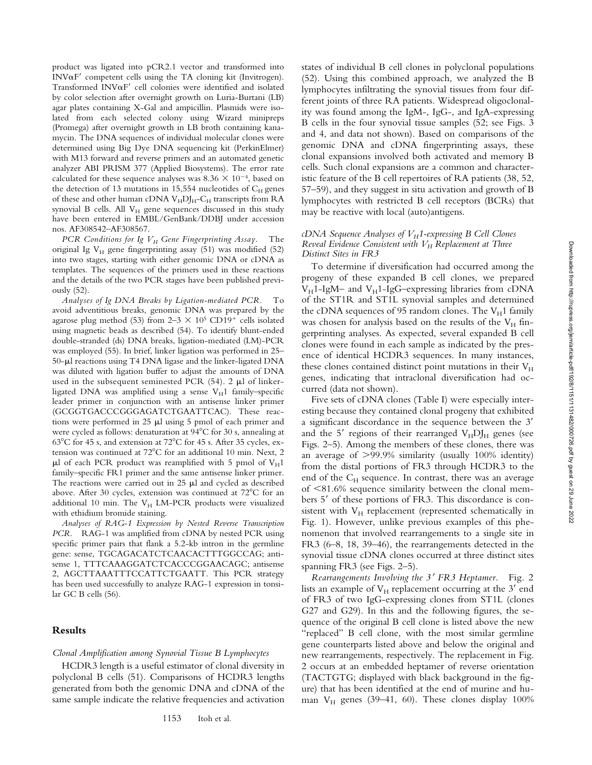Downloaded from http://rupress.org/jem/article-pdf/192/8/1151/1131482/000726.pdf by guest on 29 June 2022 Downloaded from http://rupress.org/jem/article-pdf/192/8/1151/1131482/000726.pdf by guest on 29 June 2022

product was ligated into pCR2.1 vector and transformed into INV $\alpha$ F' competent cells using the TA cloning kit (Invitrogen). Transformed  $INV\alphaF'$  cell colonies were identified and isolated by color selection after overnight growth on Luria-Burtani (LB) agar plates containing X-Gal and ampicillin. Plasmids were isolated from each selected colony using Wizard minipreps (Promega) after overnight growth in LB broth containing kanamycin. The DNA sequences of individual molecular clones were determined using Big Dye DNA sequencing kit (PerkinElmer) with M13 forward and reverse primers and an automated genetic analyzer ABI PRISM 377 (Applied Biosystems). The error rate calculated for these sequence analyses was 8.36  $\times$  10<sup>-4</sup>, based on the detection of 13 mutations in 15,554 nucleotides of  $C_H$  genes of these and other human cDNA  $\rm V_H\rm DJ_H\rm ^-C_H$  transcripts from RA synovial B cells. All  $V_H$  gene sequences discussed in this study have been entered in EMBL/GenBank/DDBJ under accession nos. AF308542–AF308567.

*PCR Conditions for Ig V<sub>H</sub> Gene Fingerprinting Assay.* The original Ig  $V_H$  gene fingerprinting assay (51) was modified (52) into two stages, starting with either genomic DNA or cDNA as templates. The sequences of the primers used in these reactions and the details of the two PCR stages have been published previously (52).

*Analyses of Ig DNA Breaks by Ligation-mediated PCR.* To avoid adventitious breaks, genomic DNA was prepared by the agarose plug method (53) from  $2-3 \times 10^5$  CD19<sup>+</sup> cells isolated using magnetic beads as described (54). To identify blunt-ended double-stranded (ds) DNA breaks, ligation-mediated (LM)-PCR was employed (55). In brief, linker ligation was performed in 25–  $50$ - $\mu$ l reactions using T4 DNA ligase and the linker-ligated DNA was diluted with ligation buffer to adjust the amounts of DNA used in the subsequent seminested PCR  $(54)$ . 2  $\mu$ l of linkerligated DNA was amplified using a sense  $V_H1$  family–specific leader primer in conjunction with an antisense linker primer (GCGGTGACCCGGGAGATCTGAATTCAC). These reactions were performed in  $25 \mu l$  using 5 pmol of each primer and were cycled as follows: denaturation at 94°C for 30 s, annealing at  $63^{\circ}$ C for 45 s, and extension at 72 $^{\circ}$ C for 45 s. After 35 cycles, extension was continued at 72°C for an additional 10 min. Next, 2  $\mu$ l of each PCR product was reamplified with 5 pmol of VH1 family–specific FR1 primer and the same antisense linker primer. The reactions were carried out in 25  $\mu$ l and cycled as described above. After 30 cycles, extension was continued at  $72^{\circ}$ C for an additional 10 min. The  $V_H$  LM-PCR products were visualized with ethidium bromide staining.

*Analyses of RAG-1 Expression by Nested Reverse Transcription PCR.* RAG-1 was amplified from cDNA by nested PCR using specific primer pairs that flank a 5.2-kb intron in the germline gene: sense, TGCAGACATCTCAACACTTTGGCCAG; antisense 1, TTTCAAAGGATCTCACCCGGAACAGC; antisense 2, AGCTTAAATTTCCATTCTGAATT. This PCR strategy has been used successfully to analyze RAG-1 expression in tonsilar GC B cells (56).

# **Results**

# *Clonal Amplification among Synovial Tissue B Lymphocytes*

HCDR3 length is a useful estimator of clonal diversity in polyclonal B cells (51). Comparisons of HCDR3 lengths generated from both the genomic DNA and cDNA of the same sample indicate the relative frequencies and activation

states of individual B cell clones in polyclonal populations (52). Using this combined approach, we analyzed the B lymphocytes infiltrating the synovial tissues from four different joints of three RA patients. Widespread oligoclonality was found among the IgM-, IgG-, and IgA-expressing B cells in the four synovial tissue samples (52; see Figs. 3 and 4, and data not shown). Based on comparisons of the genomic DNA and cDNA fingerprinting assays, these clonal expansions involved both activated and memory B cells. Such clonal expansions are a common and characteristic feature of the B cell repertoires of RA patients (38, 52, 57–59), and they suggest in situ activation and growth of B lymphocytes with restricted B cell receptors (BCRs) that may be reactive with local (auto)antigens.

#### *cDNA Sequence Analyses of V<sub>H</sub>1-expressing B Cell Clones Reveal Evidence Consistent with*  $V_H$  *Replacement at Three Distinct Sites in FR3*

To determine if diversification had occurred among the progeny of these expanded B cell clones, we prepared  $V_H$ 1-IgM- and  $V_H$ 1-IgG-expressing libraries from cDNA of the ST1R and ST1L synovial samples and determined the cDNA sequences of 95 random clones. The  $V_H1$  family was chosen for analysis based on the results of the  $V_H$  fingerprinting analyses. As expected, several expanded B cell clones were found in each sample as indicated by the presence of identical HCDR3 sequences. In many instances, these clones contained distinct point mutations in their  $V_H$ genes, indicating that intraclonal diversification had occurred (data not shown).

Five sets of cDNA clones (Table I) were especially interesting because they contained clonal progeny that exhibited a significant discordance in the sequence between the 3' and the 5' regions of their rearranged  $V_H D J_H$  genes (see Figs. 2–5). Among the members of these clones, there was an average of  $>99.9\%$  similarity (usually 100% identity) from the distal portions of FR3 through HCDR3 to the end of the  $C_H$  sequence. In contrast, there was an average of  $\leq$ 81.6% sequence similarity between the clonal members 5' of these portions of FR3. This discordance is consistent with  $V_H$  replacement (represented schematically in Fig. 1). However, unlike previous examples of this phenomenon that involved rearrangements to a single site in FR3 (6–8, 18, 39–46), the rearrangements detected in the synovial tissue cDNA clones occurred at three distinct sites spanning FR3 (see Figs. 2–5).

*Rearrangements Involving the 3*9 *FR3 Heptamer.* Fig. 2 lists an example of  $V_H$  replacement occurring at the  $3'$  end of FR3 of two IgG-expressing clones from ST1L (clones G27 and G29). In this and the following figures, the sequence of the original B cell clone is listed above the new "replaced" B cell clone, with the most similar germline gene counterparts listed above and below the original and new rearrangements, respectively. The replacement in Fig. 2 occurs at an embedded heptamer of reverse orientation (TACTGTG; displayed with black background in the figure) that has been identified at the end of murine and human  $V_H$  genes (39–41, 60). These clones display 100%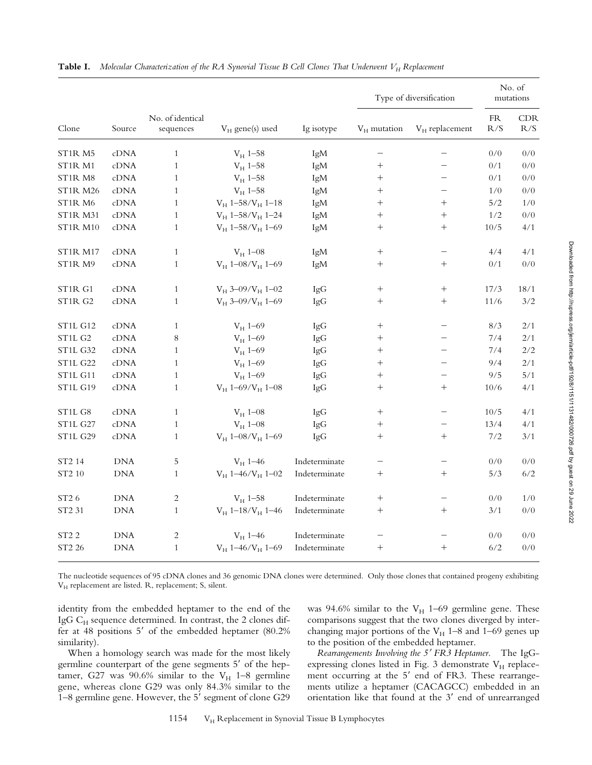| Clone                            | Source          | No. of identical<br>sequences | $V_H$ gene(s) used     | Ig isotype    | Type of diversification |                   | No. of<br>mutations |                   |
|----------------------------------|-----------------|-------------------------------|------------------------|---------------|-------------------------|-------------------|---------------------|-------------------|
|                                  |                 |                               |                        |               | $V_H$ mutation          | $V_H$ replacement | ${\rm FR}$<br>R/S   | <b>CDR</b><br>R/S |
| ST1R <sub>M5</sub>               | cDNA            | $\mathbf{1}$                  | $V_H$ 1-58             | IgM           |                         |                   | 0/0                 | 0/0               |
| ST1R M1                          | $\mathrm{cDNA}$ | $\mathbf{1}$                  | $V_H$ 1-58             | IgM           |                         |                   | 0/1                 | 0/0               |
| ST1R M8                          | cDNA            | $\mathbf{1}$                  | $V_H$ 1-58             | IgM           | $\! + \!\!\!\!$         |                   | 0/1                 | 0/0               |
| <b>ST1R M26</b>                  | cDNA            | $\mathbf{1}$                  | $V_H$ 1-58             | IgM           | $\! + \!\!\!\!$         |                   | 1/0                 | 0/0               |
| ST1R M6                          | cDNA            | $\mathbf{1}$                  | $V_H$ 1-58/ $V_H$ 1-18 | IgM           | $\! + \!\!\!\!$         | $^{+}$            | 5/2                 | 1/0               |
| <b>ST1R M31</b>                  | cDNA            | $\mathbf{1}$                  | $V_H$ 1-58/ $V_H$ 1-24 | IgM           | $\! +$                  | $^{+}$            | $1/2\,$             | $0/0$             |
| <b>ST1R M10</b>                  | cDNA            | $\mathbf{1}$                  | $V_H$ 1-58/ $V_H$ 1-69 | IgM           | $\! + \!\!\!\!$         | $^{+}$            | 10/5                | 4/1               |
| <b>ST1R M17</b>                  | cDNA            | $\mathbf{1}$                  | $V_H$ 1-08             | IgM           | $\! + \!\!\!\!$         |                   | 4/4                 | 4/1               |
| ST <sub>1</sub> R M <sub>9</sub> | cDNA            | $\mathbf{1}$                  | $V_H$ 1-08/ $V_H$ 1-69 | IgM           | $\! + \!\!\!\!$         | $^{+}$            | $0/1$               | 0/0               |
| ST1R G1                          | cDNA            | $\mathbf{1}$                  | $V_H$ 3-09/ $V_H$ 1-02 | IgG           | $\! + \!\!\!\!$         | $^{+}$            | 17/3                | 18/1              |
| ST1R G2                          | cDNA            | $\mathbf{1}$                  | $V_H$ 3-09/ $V_H$ 1-69 | IgG           | $^{+}$                  | $^{+}$            | 11/6                | 3/2               |
| <b>ST1L G12</b>                  | cDNA            | $\mathbf{1}$                  | $V_H$ 1-69             | IgG           | $\! + \!\!\!\!$         |                   | 8/3                 | 2/1               |
| ST <sub>1</sub> L <sub>G2</sub>  | cDNA            | 8                             | $V_H$ 1-69             | IgG           | $\! + \!\!\!\!$         |                   | 7/4                 | 2/1               |
| <b>ST1L G32</b>                  | cDNA            | $\mathbf{1}$                  | $V_H$ 1-69             | IgG           |                         |                   | 7/4                 | $2/2$             |
| <b>ST1L G22</b>                  | cDNA            | $\mathbf{1}$                  | $V_H$ 1-69             | IgG           |                         |                   | 9/4                 | 2/1               |
| <b>ST1L G11</b>                  | cDNA            | $\mathbf{1}$                  | $V_H$ 1-69             | IgG           | $\! +$                  |                   | 9/5                 | 5/1               |
| <b>ST1L G19</b>                  | cDNA            | $\mathbf{1}$                  | $V_H$ 1-69/ $V_H$ 1-08 | IgG           | $\! + \!\!\!\!$         | $^{+}$            | 10/6                | 4/1               |
| ST1L G8                          | cDNA            | $\mathbf{1}$                  | $V_H$ 1-08             | IgG           | $\! + \!\!\!\!$         |                   | 10/5                | 4/1               |
| <b>ST1L G27</b>                  | cDNA            | $\mathbf{1}$                  | $V_H$ 1-08             | IgG           | $\! +$                  | $\qquad \qquad -$ | 13/4                | 4/1               |
| <b>ST1L G29</b>                  | cDNA            | $\,1$                         | $V_H$ 1-08/ $V_H$ 1-69 | IgG           | $\! +$                  | $^{+}$            | $7/2\,$             | 3/1               |
| ST2 14                           | <b>DNA</b>      | 5                             | $V_H$ 1-46             | Indeterminate | —                       |                   | 0/0                 | 0/0               |
| ST2 10                           | <b>DNA</b>      | $\mathbf{1}$                  | $V_H$ 1-46/ $V_H$ 1-02 | Indeterminate | $^{+}$                  | $^+$              | 5/3                 | 6/2               |
| ST <sub>2</sub> 6                | <b>DNA</b>      | $\overline{\mathbf{c}}$       | $V_H$ 1-58             | Indeterminate | $^{+}$                  |                   | 0/0                 | 1/0               |
| ST2 31                           | DNA             | $\mathbf{1}$                  | $V_H$ 1-18/ $V_H$ 1-46 | Indeterminate | $\! + \!$               | $^{+}$            | 3/1                 | 0/0               |
| ST <sub>2</sub> 2                | <b>DNA</b>      | $\overline{\mathbf{c}}$       | $V_H$ 1-46             | Indeterminate |                         |                   | 0/0                 | 0/0               |
| ST2 26                           | <b>DNA</b>      | $\mathbf{1}$                  | $V_H$ 1-46/ $V_H$ 1-69 | Indeterminate | $\! + \!\!\!\!$         | $^{+}$            | 6/2                 | 0/0               |

The nucleotide sequences of 95 cDNA clones and 36 genomic DNA clones were determined. Only those clones that contained progeny exhibiting V<sub>H</sub> replacement are listed. R, replacement; S, silent.

identity from the embedded heptamer to the end of the IgG C<sub>H</sub> sequence determined. In contrast, the 2 clones differ at 48 positions  $5'$  of the embedded heptamer (80.2%) similarity).

When a homology search was made for the most likely germline counterpart of the gene segments 5' of the heptamer, G27 was 90.6% similar to the  $V_H$  1–8 germline gene, whereas clone G29 was only 84.3% similar to the  $1-8$  germline gene. However, the 5' segment of clone G29

was 94.6% similar to the  $V_H$  1–69 germline gene. These comparisons suggest that the two clones diverged by interchanging major portions of the  $V_H$  1–8 and 1–69 genes up to the position of the embedded heptamer.

*Rearrangements Involving the 5*9 *FR3 Heptamer.* The IgGexpressing clones listed in Fig. 3 demonstrate  $V_H$  replacement occurring at the  $5'$  end of FR3. These rearrangements utilize a heptamer (CACAGCC) embedded in an orientation like that found at the  $3'$  end of unrearranged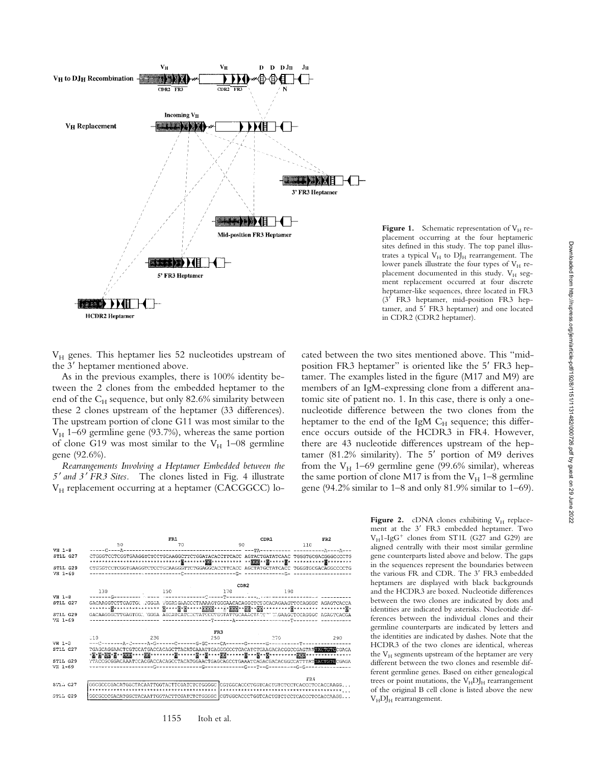

**Figure 1.** Schematic representation of  $V_H$  replacement occurring at the four heptameric sites defined in this study. The top panel illustrates a typical  $V_H$  to  $DJ_H$  rearrangement. The lower panels illustrate the four types of  $V_H$  replacement documented in this study.  $V_H$  segment replacement occurred at four discrete heptamer-like sequences, three located in FR3 (3' FR3 heptamer, mid-position FR3 heptamer, and  $5^7$  FR3 heptamer) and one located in CDR2 (CDR2 heptamer).

V<sub>H</sub> genes. This heptamer lies 52 nucleotides upstream of the 3' heptamer mentioned above.

As in the previous examples, there is 100% identity between the 2 clones from the embedded heptamer to the end of the  $C_H$  sequence, but only 82.6% similarity between these 2 clones upstream of the heptamer (33 differences). The upstream portion of clone G11 was most similar to the  $V_H$  1–69 germline gene (93.7%), whereas the same portion of clone G19 was most similar to the  $V_H$  1–08 germline gene (92.6%).

*Rearrangements Involving a Heptamer Embedded between the 5*9 *and 3*9 *FR3 Sites.* The clones listed in Fig. 4 illustrate V<sub>H</sub> replacement occurring at a heptamer (CACGGCC) located between the two sites mentioned above. This "midposition FR3 heptamer" is oriented like the 5' FR3 heptamer. The examples listed in the figure (M17 and M9) are members of an IgM-expressing clone from a different anatomic site of patient no. 1. In this case, there is only a onenucleotide difference between the two clones from the heptamer to the end of the IgM  $C_H$  sequence; this difference occurs outside of the HCDR3 in FR4. However, there are 43 nucleotide differences upstream of the heptamer (81.2% similarity). The  $5'$  portion of M9 derives from the  $V_H$  1–69 germline gene (99.6% similar), whereas the same portion of clone M17 is from the  $V_H$  1–8 germline gene (94.2% similar to 1–8 and only 81.9% similar to 1–69).



1155 Itoh et al.

**Figure 2.** cDNA clones exhibiting  $V_H$  replacement at the 3' FR3 embedded heptamer. Two  $V_H$ 1-IgG<sup>+</sup> clones from ST1L (G27 and G29) are aligned centrally with their most similar germline gene counterparts listed above and below. The gaps in the sequences represent the boundaries between the various FR and CDR. The 3' FR3 embedded heptamers are displayed with black backgrounds and the HCDR3 are boxed. Nucleotide differences between the two clones are indicated by dots and identities are indicated by asterisks. Nucleotide differences between the individual clones and their germline counterparts are indicated by letters and the identities are indicated by dashes. Note that the HCDR3 of the two clones are identical, whereas the  $V_H$  segments upstream of the heptamer are very different between the two clones and resemble different germline genes. Based on either genealogical trees or point mutations, the  $V<sub>H</sub>DJ<sub>H</sub>$  rearrangement of the original B cell clone is listed above the new  $V_HDI_H$  rearrangement.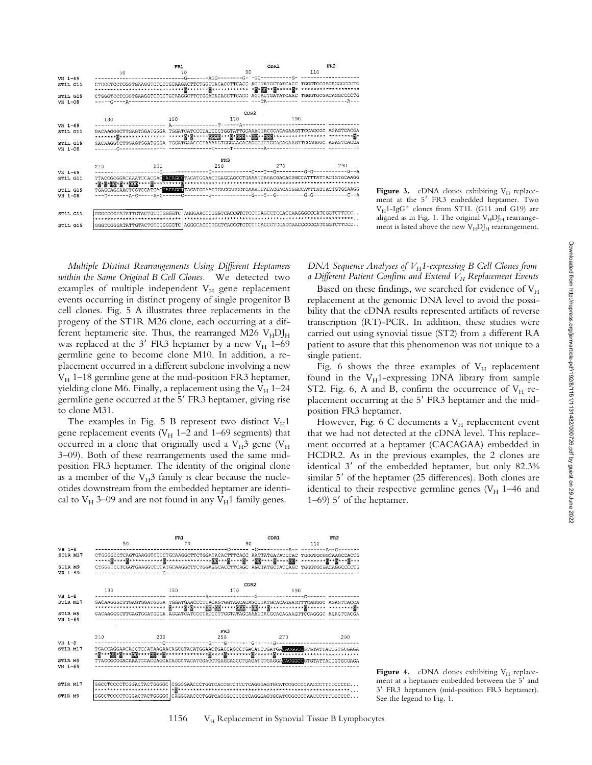

**Figure 3.** cDNA clones exhibiting  $V_H$  replacement at the 5' FR3 embedded heptamer. Two  $V_H$ 1-IgG<sup>+</sup> clones from ST1L (G11 and G19) are aligned as in Fig. 1. The original  $V_H D J_H$  rearrangement is listed above the new  $V_H D J_H$  rearrangement.

*Multiple Distinct Rearrangements Using Different Heptamers within the Same Original B Cell Clones.* We detected two examples of multiple independent  $V_H$  gene replacement events occurring in distinct progeny of single progenitor B cell clones. Fig. 5 A illustrates three replacements in the progeny of the ST1R M26 clone, each occurring at a different heptameric site. Thus, the rearranged M26  $V<sub>H</sub>DI<sub>H</sub>$ was replaced at the  $3'$  FR3 heptamer by a new V<sub>H</sub> 1–69 germline gene to become clone M10. In addition, a replacement occurred in a different subclone involving a new  $V_H$  1–18 germline gene at the mid-position FR3 heptamer, yielding clone M6. Finally, a replacement using the  $V_H$  1–24 germline gene occurred at the 5' FR3 heptamer, giving rise to clone M31.

The examples in Fig. 5 B represent two distinct  $V_H1$ gene replacement events ( $V_H$  1–2 and 1–69 segments) that occurred in a clone that originally used a  $V_H3$  gene ( $V_H$ 3–09). Both of these rearrangements used the same midposition FR3 heptamer. The identity of the original clone as a member of the  $V_H3$  family is clear because the nucleotides downstream from the embedded heptamer are identical to  $V_H$  3–09 and are not found in any  $V_H$ 1 family genes.

*DNA Sequence Analyses of V<sub>H</sub>1-expressing B Cell Clones from a Different Patient Confirm and Extend*  $\tilde{V_H}$  *Replacement Events* 

Based on these findings, we searched for evidence of  $V_H$ replacement at the genomic DNA level to avoid the possibility that the cDNA results represented artifacts of reverse transcription (RT)-PCR. In addition, these studies were carried out using synovial tissue (ST2) from a different RA patient to assure that this phenomenon was not unique to a single patient.

Fig. 6 shows the three examples of  $V_H$  replacement found in the  $V_H1$ -expressing DNA library from sample ST2. Fig. 6, A and B, confirm the occurrence of  $V_H$  replacement occurring at the 5' FR3 heptamer and the midposition FR3 heptamer.

However, Fig. 6 C documents a  $V_H$  replacement event that we had not detected at the cDNA level. This replacement occurred at a heptamer (CACAGAA) embedded in HCDR2. As in the previous examples, the 2 clones are identical 3' of the embedded heptamer, but only 82.3% similar 5' of the heptamer (25 differences). Both clones are identical to their respective germline genes ( $V_H$  1–46 and 1–69)  $5'$  of the heptamer.



**Figure 4.** cDNA clones exhibiting  $V_H$  replacement at a heptamer embedded between the 5' and 3' FR3 heptamers (mid-position FR3 heptamer). See the legend to Fig. 1.

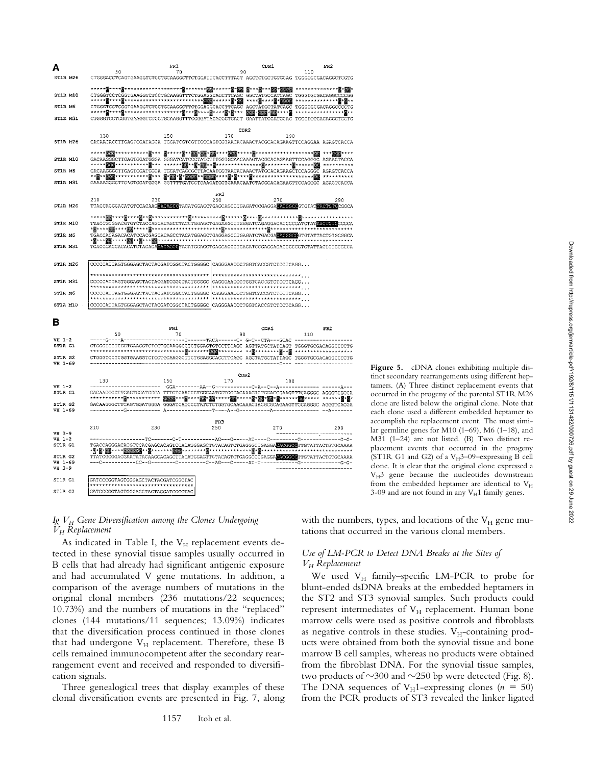

**Figure 5.** cDNA clones exhibiting multiple distinct secondary rearrangements using different heptamers. (A) Three distinct replacement events that occurred in the progeny of the parental ST1R M26 clone are listed below the original clone. Note that each clone used a different embedded heptamer to accomplish the replacement event. The most similar germline genes for M10 (1–69), M6 (1–18), and M31 (1–24) are not listed. (B) Two distinct replacement events that occurred in the progeny (ST1R G1 and G2) of a V $_H$ 3-09-expressing B cell clone. It is clear that the original clone expressed a  $V_H$ 3 gene because the nucleotides downstream from the embedded heptamer are identical to  $V_H$ 3-09 and are not found in any  $V_H1$  family genes.

#### *Ig VH Gene Diversification among the Clones Undergoing VH Replacement*

As indicated in Table I, the  $V_H$  replacement events detected in these synovial tissue samples usually occurred in B cells that had already had significant antigenic exposure and had accumulated V gene mutations. In addition, a comparison of the average numbers of mutations in the original clonal members (236 mutations/22 sequences; 10.73%) and the numbers of mutations in the "replaced" clones (144 mutations/11 sequences; 13.09%) indicates that the diversification process continued in those clones that had undergone  $V_H$  replacement. Therefore, these B cells remained immunocompetent after the secondary rearrangement event and received and responded to diversification signals.

Three genealogical trees that display examples of these clonal diversification events are presented in Fig. 7, along with the numbers, types, and locations of the  $V_H$  gene mutations that occurred in the various clonal members.

# *Use of LM-PCR to Detect DNA Breaks at the Sites of VH Replacement*

We used  $V_H$  family–specific LM-PCR to probe for blunt-ended dsDNA breaks at the embedded heptamers in the ST2 and ST3 synovial samples. Such products could represent intermediates of  $V_H$  replacement. Human bone marrow cells were used as positive controls and fibroblasts as negative controls in these studies.  $V<sub>H</sub>$ -containing products were obtained from both the synovial tissue and bone marrow B cell samples, whereas no products were obtained from the fibroblast DNA. For the synovial tissue samples, two products of  $\sim$ 300 and  $\sim$ 250 bp were detected (Fig. 8). The DNA sequences of  $V_H1$ -expressing clones ( $n = 50$ ) from the PCR products of ST3 revealed the linker ligated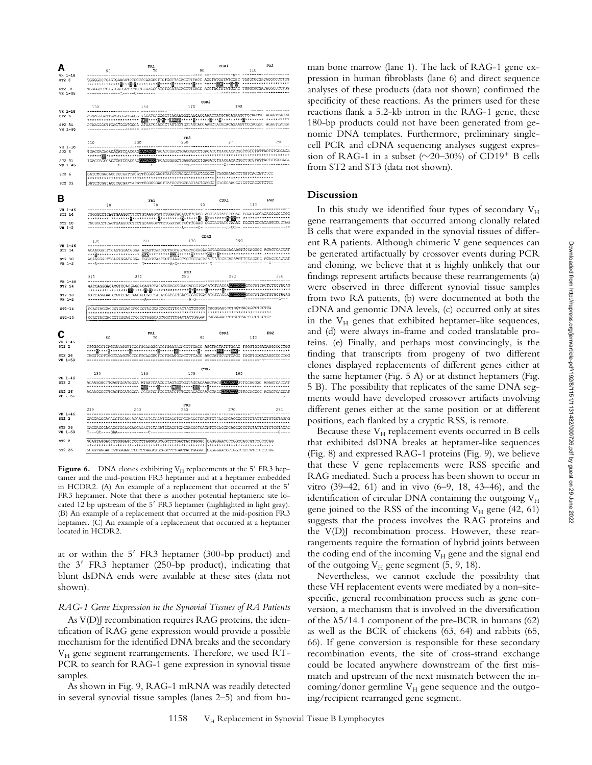

**Figure 6.** DNA clones exhibiting  $V_H$  replacements at the 5' FR3 heptamer and the mid-position FR3 heptamer and at a heptamer embedded in HCDR2. (A) An example of a replacement that occurred at the  $5'$ FR3 heptamer. Note that there is another potential heptameric site located 12 bp upstream of the 5' FR3 heptamer (highlighted in light gray). (B) An example of a replacement that occurred at the mid-position FR3 heptamer. (C) An example of a replacement that occurred at a heptamer located in HCDR2.

at or within the  $5'$  FR3 heptamer (300-bp product) and the  $3'$  FR3 heptamer (250-bp product), indicating that blunt dsDNA ends were available at these sites (data not shown).

#### *RAG-1 Gene Expression in the Synovial Tissues of RA Patients*

As V(D)J recombination requires RAG proteins, the identification of RAG gene expression would provide a possible mechanism for the identified DNA breaks and the secondary  $V_H$  gene segment rearrangements. Therefore, we used RT-PCR to search for RAG-1 gene expression in synovial tissue samples.

As shown in Fig. 9, RAG-1 mRNA was readily detected in several synovial tissue samples (lanes 2–5) and from human bone marrow (lane 1). The lack of RAG-1 gene expression in human fibroblasts (lane 6) and direct sequence analyses of these products (data not shown) confirmed the specificity of these reactions. As the primers used for these reactions flank a 5.2-kb intron in the RAG-1 gene, these 180-bp products could not have been generated from genomic DNA templates. Furthermore, preliminary singlecell PCR and cDNA sequencing analyses suggest expression of RAG-1 in a subset  $(\sim 20-30\%)$  of CD19<sup>+</sup> B cells from ST2 and ST3 (data not shown).

#### **Discussion**

In this study we identified four types of secondary  $V_H$ gene rearrangements that occurred among clonally related B cells that were expanded in the synovial tissues of different RA patients. Although chimeric V gene sequences can be generated artifactually by crossover events during PCR and cloning, we believe that it is highly unlikely that our findings represent artifacts because these rearrangements (a) were observed in three different synovial tissue samples from two RA patients, (b) were documented at both the cDNA and genomic DNA levels, (c) occurred only at sites in the  $V_H$  genes that exhibited heptamer-like sequences, and (d) were always in-frame and coded translatable proteins. (e) Finally, and perhaps most convincingly, is the finding that transcripts from progeny of two different clones displayed replacements of different genes either at the same heptamer (Fig. 5 A) or at distinct heptamers (Fig. 5 B). The possibility that replicates of the same DNA segments would have developed crossover artifacts involving different genes either at the same position or at different positions, each flanked by a cryptic RSS, is remote.

Because these  $V_H$  replacement events occurred in B cells that exhibited dsDNA breaks at heptamer-like sequences (Fig. 8) and expressed RAG-1 proteins (Fig. 9), we believe that these V gene replacements were RSS specific and RAG mediated. Such a process has been shown to occur in vitro (39–42, 61) and in vivo (6–9, 18, 43–46), and the identification of circular DNA containing the outgoing  $V_H$ gene joined to the RSS of the incoming  $V_H$  gene (42, 61) suggests that the process involves the RAG proteins and the V(D)J recombination process. However, these rearrangements require the formation of hybrid joints between the coding end of the incoming  $V_H$  gene and the signal end of the outgoing  $V_H$  gene segment (5, 9, 18).

Nevertheless, we cannot exclude the possibility that these VH replacement events were mediated by a non–sitespecific, general recombination process such as gene conversion, a mechanism that is involved in the diversification of the  $\lambda$ 5/14.1 component of the pre-BCR in humans (62) as well as the BCR of chickens (63, 64) and rabbits (65, 66). If gene conversion is responsible for these secondary recombination events, the site of cross-strand exchange could be located anywhere downstream of the first mismatch and upstream of the next mismatch between the incoming/donor germline  $V_H$  gene sequence and the outgoing/recipient rearranged gene segment.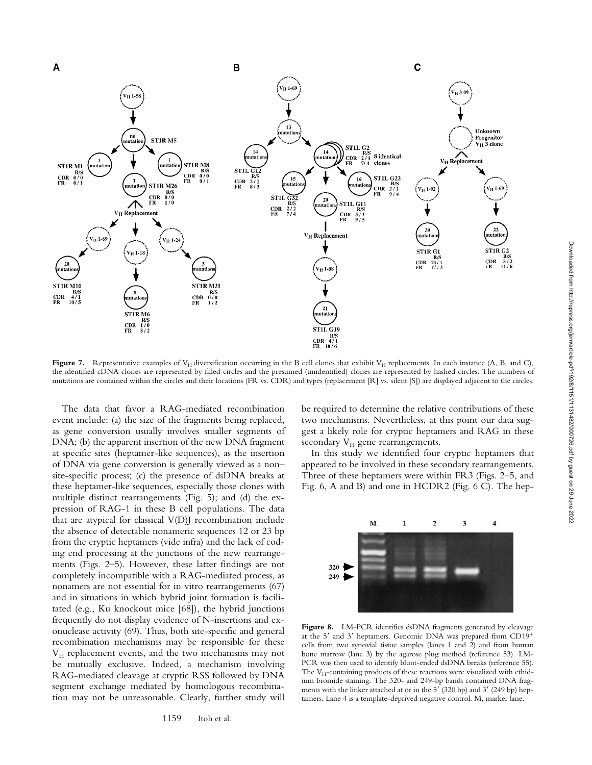

**Figure 7.** Representative examples of  $V_H$  diversification occurring in the B cell clones that exhibit  $V_H$  replacements. In each instance (A, B, and C), the identified cDNA clones are represented by filled circles and the presumed (unidentified) clones are represented by hashed circles. The numbers of mutations are contained within the circles and their locations (FR vs. CDR) and types (replacement [R] vs. silent [S]) are displayed adjacent to the circles.

The data that favor a RAG-mediated recombination event include: (a) the size of the fragments being replaced, as gene conversion usually involves smaller segments of DNA; (b) the apparent insertion of the new DNA fragment at specific sites (heptamer-like sequences), as the insertion of DNA via gene conversion is generally viewed as a non– site-specific process; (c) the presence of dsDNA breaks at these heptamer-like sequences, especially those clones with multiple distinct rearrangements (Fig. 5); and (d) the expression of RAG-1 in these B cell populations. The data that are atypical for classical  $V(D)$  recombination include the absence of detectable nonameric sequences 12 or 23 bp from the cryptic heptamers (vide infra) and the lack of coding end processing at the junctions of the new rearrangements (Figs. 2–5). However, these latter findings are not completely incompatible with a RAG-mediated process, as nonamers are not essential for in vitro rearrangements (67) and in situations in which hybrid joint formation is facilitated (e.g., Ku knockout mice [68]), the hybrid junctions frequently do not display evidence of N-insertions and exonuclease activity (69). Thus, both site-specific and general recombination mechanisms may be responsible for these V<sub>H</sub> replacement events, and the two mechanisms may not be mutually exclusive. Indeed, a mechanism involving RAG-mediated cleavage at cryptic RSS followed by DNA segment exchange mediated by homologous recombination may not be unreasonable. Clearly, further study will

be required to determine the relative contributions of these two mechanisms. Nevertheless, at this point our data suggest a likely role for cryptic heptamers and RAG in these secondary  $V_H$  gene rearrangements.

In this study we identified four cryptic heptamers that appeared to be involved in these secondary rearrangements. Three of these heptamers were within FR3 (Figs. 2–5, and Fig. 6, A and B) and one in HCDR2 (Fig. 6 C). The hep-



Figure 8. LM-PCR identifies dsDNA fragments generated by cleavage at the 5' and 3' heptamers. Genomic DNA was prepared from CD19<sup>+</sup> cells from two synovial tissue samples (lanes 1 and 2) and from human bone marrow (lane 3) by the agarose plug method (reference 53). LM-PCR was then used to identify blunt-ended dsDNA breaks (reference 55). The  $V_H$ -containing products of these reactions were visualized with ethidium bromide staining. The 320- and 249-bp bands contained DNA fragments with the linker attached at or in the  $5'(320$  bp) and  $3'(249$  bp) heptamers. Lane 4 is a template-deprived negative control. M, marker lane.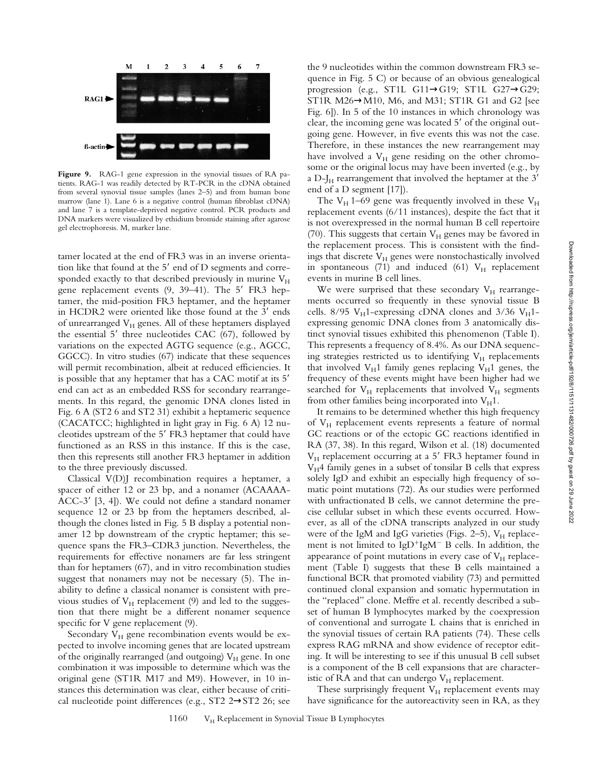

**Figure 9.** RAG-1 gene expression in the synovial tissues of RA patients. RAG-1 was readily detected by RT-PCR in the cDNA obtained from several synovial tissue samples (lanes 2–5) and from human bone marrow (lane 1). Lane 6 is a negative control (human fibroblast cDNA) and lane 7 is a template-deprived negative control. PCR products and DNA markers were visualized by ethidium bromide staining after agarose gel electrophoresis. M, marker lane.

tamer located at the end of FR3 was in an inverse orientation like that found at the  $5'$  end of D segments and corresponded exactly to that described previously in murine  $V_H$ gene replacement events  $(9, 39-41)$ . The  $5'$  FR3 heptamer, the mid-position FR3 heptamer, and the heptamer in HCDR2 were oriented like those found at the 3' ends of unrearranged  $V_H$  genes. All of these heptamers displayed the essential  $5'$  three nucleotides CAC (67), followed by variations on the expected AGTG sequence (e.g., AGCC, GGCC). In vitro studies (67) indicate that these sequences will permit recombination, albeit at reduced efficiencies. It is possible that any heptamer that has a CAC motif at its 5' end can act as an embedded RSS for secondary rearrangements. In this regard, the genomic DNA clones listed in Fig. 6 A (ST2 6 and ST2 31) exhibit a heptameric sequence (CACATCC; highlighted in light gray in Fig. 6 A) 12 nucleotides upstream of the 5' FR3 heptamer that could have functioned as an RSS in this instance. If this is the case, then this represents still another FR3 heptamer in addition to the three previously discussed.

Classical V(D)J recombination requires a heptamer, a spacer of either 12 or 23 bp, and a nonamer (ACAAAA-ACC-3' [3, 4]). We could not define a standard nonamer sequence 12 or 23 bp from the heptamers described, although the clones listed in Fig. 5 B display a potential nonamer 12 bp downstream of the cryptic heptamer; this sequence spans the FR3–CDR3 junction. Nevertheless, the requirements for effective nonamers are far less stringent than for heptamers (67), and in vitro recombination studies suggest that nonamers may not be necessary (5). The inability to define a classical nonamer is consistent with previous studies of  $V_H$  replacement (9) and led to the suggestion that there might be a different nonamer sequence specific for V gene replacement  $(9)$ .

Secondary  $V_H$  gene recombination events would be expected to involve incoming genes that are located upstream of the originally rearranged (and outgoing)  $V_H$  gene. In one combination it was impossible to determine which was the original gene (ST1R M17 and M9). However, in 10 instances this determination was clear, either because of critical nucleotide point differences (e.g., ST2 2→ST2 26; see

the 9 nucleotides within the common downstream FR3 sequence in Fig. 5 C) or because of an obvious genealogical progression (e.g., ST1L G11→G19; ST1L G27→G29; ST1R M26→M10, M6, and M31; ST1R G1 and G2 [see Fig. 6]). In 5 of the 10 instances in which chronology was clear, the incoming gene was located 5' of the original outgoing gene. However, in five events this was not the case. Therefore, in these instances the new rearrangement may have involved a  $V_H$  gene residing on the other chromosome or the original locus may have been inverted (e.g., by a D-J $_H$  rearrangement that involved the heptamer at the 3' end of a D segment [17]).

The  $V_H$  1–69 gene was frequently involved in these  $V_H$ replacement events (6/11 instances), despite the fact that it is not overexpressed in the normal human B cell repertoire (70). This suggests that certain  $V_H$  genes may be favored in the replacement process. This is consistent with the findings that discrete  $V_H$  genes were nonstochastically involved in spontaneous (71) and induced (61)  $V_H$  replacement events in murine B cell lines.

We were surprised that these secondary  $V_H$  rearrangements occurred so frequently in these synovial tissue B cells. 8/95  $V_H$ 1-expressing cDNA clones and 3/36  $V_H$ 1expressing genomic DNA clones from 3 anatomically distinct synovial tissues exhibited this phenomenon (Table I). This represents a frequency of 8.4%. As our DNA sequencing strategies restricted us to identifying  $V_H$  replacements that involved  $V_H1$  family genes replacing  $V_H1$  genes, the frequency of these events might have been higher had we searched for  $V_H$  replacements that involved  $V_H$  segments from other families being incorporated into  $V_H1$ .

It remains to be determined whether this high frequency of  $V_H$  replacement events represents a feature of normal GC reactions or of the ectopic GC reactions identified in RA (37, 38). In this regard, Wilson et al. (18) documented  $V_H$  replacement occurring at a 5' FR3 heptamer found in  $V_H$ 4 family genes in a subset of tonsilar B cells that express solely IgD and exhibit an especially high frequency of somatic point mutations (72). As our studies were performed with unfractionated B cells, we cannot determine the precise cellular subset in which these events occurred. However, as all of the cDNA transcripts analyzed in our study were of the IgM and IgG varieties (Figs. 2–5),  $V_H$  replacement is not limited to  $IgD^{+}IgM^{-}B$  cells. In addition, the appearance of point mutations in every case of  $V_H$  replacement (Table I) suggests that these B cells maintained a functional BCR that promoted viability (73) and permitted continued clonal expansion and somatic hypermutation in the "replaced" clone. Meffre et al. recently described a subset of human B lymphocytes marked by the coexpression of conventional and surrogate L chains that is enriched in the synovial tissues of certain RA patients (74). These cells express RAG mRNA and show evidence of receptor editing. It will be interesting to see if this unusual B cell subset is a component of the B cell expansions that are characteristic of RA and that can undergo  $V_H$  replacement.

These surprisingly frequent  $V_H$  replacement events may have significance for the autoreactivity seen in RA, as they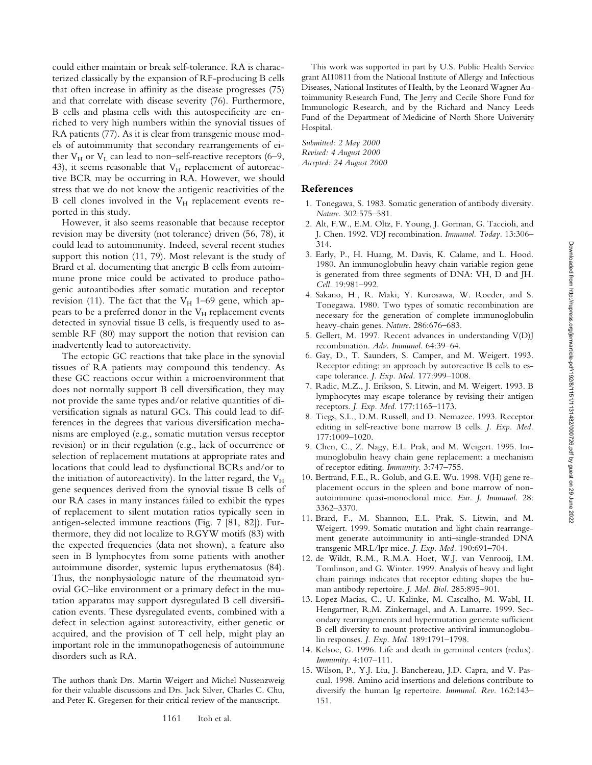could either maintain or break self-tolerance. RA is characterized classically by the expansion of RF-producing B cells that often increase in affinity as the disease progresses (75) and that correlate with disease severity (76). Furthermore, B cells and plasma cells with this autospecificity are enriched to very high numbers within the synovial tissues of RA patients (77). As it is clear from transgenic mouse models of autoimmunity that secondary rearrangements of either  $V_H$  or  $V_L$  can lead to non–self-reactive receptors (6–9, 43), it seems reasonable that  $V_H$  replacement of autoreactive BCR may be occurring in RA. However, we should stress that we do not know the antigenic reactivities of the B cell clones involved in the  $V_H$  replacement events reported in this study.

However, it also seems reasonable that because receptor revision may be diversity (not tolerance) driven (56, 78), it could lead to autoimmunity. Indeed, several recent studies support this notion (11, 79). Most relevant is the study of Brard et al. documenting that anergic B cells from autoimmune prone mice could be activated to produce pathogenic autoantibodies after somatic mutation and receptor revision (11). The fact that the  $V_H$  1–69 gene, which appears to be a preferred donor in the  $V_H$  replacement events detected in synovial tissue B cells, is frequently used to assemble RF (80) may support the notion that revision can inadvertently lead to autoreactivity.

The ectopic GC reactions that take place in the synovial tissues of RA patients may compound this tendency. As these GC reactions occur within a microenvironment that does not normally support B cell diversification, they may not provide the same types and/or relative quantities of diversification signals as natural GCs. This could lead to differences in the degrees that various diversification mechanisms are employed (e.g., somatic mutation versus receptor revision) or in their regulation (e.g., lack of occurrence or selection of replacement mutations at appropriate rates and locations that could lead to dysfunctional BCRs and/or to the initiation of autoreactivity). In the latter regard, the  $V_H$ gene sequences derived from the synovial tissue B cells of our RA cases in many instances failed to exhibit the types of replacement to silent mutation ratios typically seen in antigen-selected immune reactions (Fig. 7 [81, 82]). Furthermore, they did not localize to RGYW motifs (83) with the expected frequencies (data not shown), a feature also seen in B lymphocytes from some patients with another autoimmune disorder, systemic lupus erythematosus (84). Thus, the nonphysiologic nature of the rheumatoid synovial GC–like environment or a primary defect in the mutation apparatus may support dysregulated B cell diversification events. These dysregulated events, combined with a defect in selection against autoreactivity, either genetic or acquired, and the provision of T cell help, might play an important role in the immunopathogenesis of autoimmune disorders such as RA.

The authors thank Drs. Martin Weigert and Michel Nussenzweig for their valuable discussions and Drs. Jack Silver, Charles C. Chu, and Peter K. Gregersen for their critical review of the manuscript.

1161 Itoh et al.

This work was supported in part by U.S. Public Health Service grant AI10811 from the National Institute of Allergy and Infectious Diseases, National Institutes of Health, by the Leonard Wagner Autoimmunity Research Fund, The Jerry and Cecile Shore Fund for Immunologic Research, and by the Richard and Nancy Leeds Fund of the Department of Medicine of North Shore University Hospital.

*Submitted: 2 May 2000 Revised: 4 August 2000 Accepted: 24 August 2000*

#### **References**

- 1. Tonegawa, S. 1983. Somatic generation of antibody diversity. *Nature.* 302:575–581.
- 2. Alt, F.W., E.M. Oltz, F. Young, J. Gorman, G. Taccioli, and J. Chen. 1992. VDJ recombination. *Immunol. Today.* 13:306– 314.
- 3. Early, P., H. Huang, M. Davis, K. Calame, and L. Hood. 1980. An immunoglobulin heavy chain variable region gene is generated from three segments of DNA: VH, D and JH. *Cell.* 19:981–992.
- 4. Sakano, H., R. Maki, Y. Kurosawa, W. Roeder, and S. Tonegawa. 1980. Two types of somatic recombination are necessary for the generation of complete immunoglobulin heavy-chain genes. *Nature.* 286:676–683.
- 5. Gellert, M. 1997. Recent advances in understanding V(D)J recombination. *Adv. Immunol.* 64:39–64.
- 6. Gay, D., T. Saunders, S. Camper, and M. Weigert. 1993. Receptor editing: an approach by autoreactive B cells to escape tolerance. *J. Exp. Med.* 177:999–1008.
- 7. Radic, M.Z., J. Erikson, S. Litwin, and M. Weigert. 1993. B lymphocytes may escape tolerance by revising their antigen receptors. *J. Exp. Med.* 177:1165–1173.
- 8. Tiegs, S.L., D.M. Russell, and D. Nemazee. 1993. Receptor editing in self-reactive bone marrow B cells. *J. Exp. Med.* 177:1009–1020.
- 9. Chen, C., Z. Nagy, E.L. Prak, and M. Weigert. 1995. Immunoglobulin heavy chain gene replacement: a mechanism of receptor editing. *Immunity.* 3:747–755.
- 10. Bertrand, F.E., R. Golub, and G.E. Wu. 1998. V(H) gene replacement occurs in the spleen and bone marrow of nonautoimmune quasi-monoclonal mice. *Eur. J. Immunol.* 28: 3362–3370.
- 11. Brard, F., M. Shannon, E.L. Prak, S. Litwin, and M. Weigert. 1999. Somatic mutation and light chain rearrangement generate autoimmunity in anti–single-stranded DNA transgenic MRL/lpr mice. *J. Exp. Med.* 190:691–704.
- 12. de Wildt, R.M., R.M.A. Hoet, W.J. van Venrooij, I.M. Tomlinson, and G. Winter. 1999. Analysis of heavy and light chain pairings indicates that receptor editing shapes the human antibody repertoire. *J. Mol. Biol.* 285:895–901.
- 13. Lopez-Macias, C., U. Kalinke, M. Cascalho, M. Wabl, H. Hengartner, R.M. Zinkernagel, and A. Lamarre. 1999. Secondary rearrangements and hypermutation generate sufficient B cell diversity to mount protective antiviral immunoglobulin responses. *J. Exp. Med.* 189:1791–1798.
- 14. Kelsoe, G. 1996. Life and death in germinal centers (redux). *Immunity.* 4:107–111.
- 15. Wilson, P., Y.J. Liu, J. Banchereau, J.D. Capra, and V. Pascual. 1998. Amino acid insertions and deletions contribute to diversify the human Ig repertoire. *Immunol. Rev.* 162:143– 151.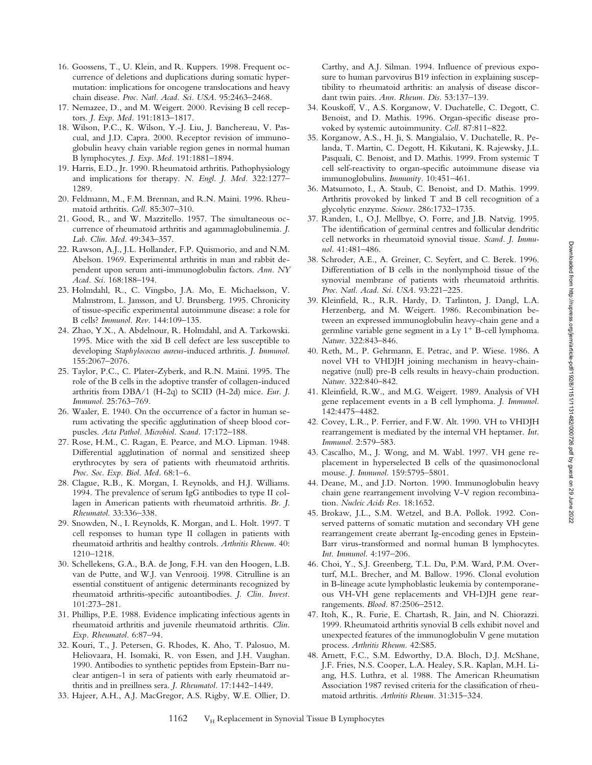- 16. Goossens, T., U. Klein, and R. Kuppers. 1998. Frequent occurrence of deletions and duplications during somatic hypermutation: implications for oncogene translocations and heavy chain disease. *Proc. Natl. Acad. Sci. USA.* 95:2463–2468.
- 17. Nemazee, D., and M. Weigert. 2000. Revising B cell receptors. *J. Exp. Med.* 191:1813–1817.
- 18. Wilson, P.C., K. Wilson, Y.-J. Liu, J. Banchereau, V. Pascual, and J.D. Capra. 2000. Receptor revision of immunoglobulin heavy chain variable region genes in normal human B lymphocytes. *J. Exp. Med.* 191:1881–1894.
- 19. Harris, E.D., Jr. 1990. Rheumatoid arthritis. Pathophysiology and implications for therapy. *N. Engl. J. Med.* 322:1277– 1289.
- 20. Feldmann, M., F.M. Brennan, and R.N. Maini. 1996. Rheumatoid arthritis. *Cell.* 85:307–310.
- 21. Good, R., and W. Mazzitello. 1957. The simultaneous occurrence of rheumatoid arthritis and agammaglobulinemia. *J. Lab. Clin. Med.* 49:343–357.
- 22. Rawson, A.J., J.L. Hollander, F.P. Quismorio, and and N.M. Abelson. 1969. Experimental arthritis in man and rabbit dependent upon serum anti-immunoglobulin factors. *Ann. NY Acad. Sci.* 168:188–194.
- 23. Holmdahl, R., C. Vingsbo, J.A. Mo, E. Michaelsson, V. Malmstrom, L. Jansson, and U. Brunsberg. 1995. Chronicity of tissue-specific experimental autoimmune disease: a role for B cells? *Immunol. Rev.* 144:109–135.
- 24. Zhao, Y.X., A. Abdelnour, R. Holmdahl, and A. Tarkowski. 1995. Mice with the xid B cell defect are less susceptible to developing *Staphylococcus aureus*-induced arthritis. *J. Immunol.* 155:2067–2076.
- 25. Taylor, P.C., C. Plater-Zyberk, and R.N. Maini. 1995. The role of the B cells in the adoptive transfer of collagen-induced arthritis from DBA/1 (H-2q) to SCID (H-2d) mice. *Eur. J. Immunol.* 25:763–769.
- 26. Waaler, E. 1940. On the occurrence of a factor in human serum activating the specific agglutination of sheep blood corpuscles. *Acta Pathol. Microbiol. Scand.* 17:172–188.
- 27. Rose, H.M., C. Ragan, E. Pearce, and M.O. Lipman. 1948. Differential agglutination of normal and sensitized sheep erythrocytes by sera of patients with rheumatoid arthritis. *Proc. Soc. Exp. Biol. Med.* 68:1–6.
- 28. Clague, R.B., K. Morgan, I. Reynolds, and H.J. Williams. 1994. The prevalence of serum IgG antibodies to type II collagen in American patients with rheumatoid arthritis. *Br. J. Rheumatol.* 33:336–338.
- 29. Snowden, N., I. Reynolds, K. Morgan, and L. Holt. 1997. T cell responses to human type II collagen in patients with rheumatoid arthritis and healthy controls. *Arthritis Rheum.* 40: 1210–1218.
- 30. Schellekens, G.A., B.A. de Jong, F.H. van den Hoogen, L.B. van de Putte, and W.J. van Venrooij. 1998. Citrulline is an essential constituent of antigenic determinants recognized by rheumatoid arthritis-specific autoantibodies. *J. Clin. Invest.* 101:273–281.
- 31. Phillips, P.E. 1988. Evidence implicating infectious agents in rheumatoid arthritis and juvenile rheumatoid arthritis. *Clin. Exp. Rheumatol.* 6:87–94.
- 32. Kouri, T., J. Petersen, G. Rhodes, K. Aho, T. Palosuo, M. Heliovaara, H. Isomaki, R. von Essen, and J.H. Vaughan. 1990. Antibodies to synthetic peptides from Epstein-Barr nuclear antigen-1 in sera of patients with early rheumatoid arthritis and in preillness sera. *J. Rheumatol.* 17:1442–1449.
- 33. Hajeer, A.H., A.J. MacGregor, A.S. Rigby, W.E. Ollier, D.

Carthy, and A.J. Silman. 1994. Influence of previous exposure to human parvovirus B19 infection in explaining susceptibility to rheumatoid arthritis: an analysis of disease discordant twin pairs. *Ann. Rheum. Dis.* 53:137–139.

- 34. Kouskoff, V., A.S. Korganow, V. Duchatelle, C. Degott, C. Benoist, and D. Mathis. 1996. Organ-specific disease provoked by systemic autoimmunity. *Cell.* 87:811–822.
- 35. Korganow, A.S., H. Ji, S. Mangialaio, V. Duchatelle, R. Pelanda, T. Martin, C. Degott, H. Kikutani, K. Rajewsky, J.L. Pasquali, C. Benoist, and D. Mathis. 1999. From systemic T cell self-reactivity to organ-specific autoimmune disease via immunoglobulins. *Immunity.* 10:451–461.
- 36. Matsumoto, I., A. Staub, C. Benoist, and D. Mathis. 1999. Arthritis provoked by linked T and B cell recognition of a glycolytic enzyme. *Science.* 286:1732–1735.
- 37. Randen, I., O.J. Mellbye, O. Forre, and J.B. Natvig. 1995. The identification of germinal centres and follicular dendritic cell networks in rheumatoid synovial tissue. *Scand. J. Immunol.* 41:481–486.
- 38. Schroder, A.E., A. Greiner, C. Seyfert, and C. Berek. 1996. Differentiation of B cells in the nonlymphoid tissue of the synovial membrane of patients with rheumatoid arthritis. *Proc. Natl. Acad. Sci. USA.* 93:221–225.
- 39. Kleinfield, R., R.R. Hardy, D. Tarlinton, J. Dangl, L.A. Herzenberg, and M. Weigert. 1986. Recombination between an expressed immunoglobulin heavy-chain gene and a germline variable gene segment in a Ly  $1^+$  B-cell lymphoma. *Nature.* 322:843–846.
- 40. Reth, M., P. Gehrmann, E. Petrac, and P. Wiese. 1986. A novel VH to VHDJH joining mechanism in heavy-chainnegative (null) pre-B cells results in heavy-chain production. *Nature.* 322:840–842.
- 41. Kleinfield, R.W., and M.G. Weigert. 1989. Analysis of VH gene replacement events in a B cell lymphoma. *J. Immunol.* 142:4475–4482.
- 42. Covey, L.R., P. Ferrier, and F.W. Alt. 1990. VH to VHDJH rearrangement is mediated by the internal VH heptamer. *Int. Immunol.* 2:579–583.
- 43. Cascalho, M., J. Wong, and M. Wabl. 1997. VH gene replacement in hyperselected B cells of the quasimonoclonal mouse. *J. Immunol.* 159:5795–5801.
- 44. Deane, M., and J.D. Norton. 1990. Immunoglobulin heavy chain gene rearrangement involving V-V region recombination. *Nucleic Acids Res.* 18:1652.
- 45. Brokaw, J.L., S.M. Wetzel, and B.A. Pollok. 1992. Conserved patterns of somatic mutation and secondary VH gene rearrangement create aberrant Ig-encoding genes in Epstein-Barr virus-transformed and normal human B lymphocytes. *Int. Immunol.* 4:197–206.
- 46. Choi, Y., S.J. Greenberg, T.L. Du, P.M. Ward, P.M. Overturf, M.L. Brecher, and M. Ballow. 1996. Clonal evolution in B-lineage acute lymphoblastic leukemia by contemporaneous VH-VH gene replacements and VH-DJH gene rearrangements. *Blood.* 87:2506–2512.
- 47. Itoh, K., R. Furie, E. Chartash, R. Jain, and N. Chiorazzi. 1999. Rheumatoid arthritis synovial B cells exhibit novel and unexpected features of the immunoglobulin V gene mutation process. *Arthritis Rheum.* 42:S85.
- 48. Arnett, F.C., S.M. Edworthy, D.A. Bloch, D.J. McShane, J.F. Fries, N.S. Cooper, L.A. Healey, S.R. Kaplan, M.H. Liang, H.S. Luthra, et al. 1988. The American Rheumatism Association 1987 revised criteria for the classification of rheumatoid arthritis. *Arthritis Rheum.* 31:315–324.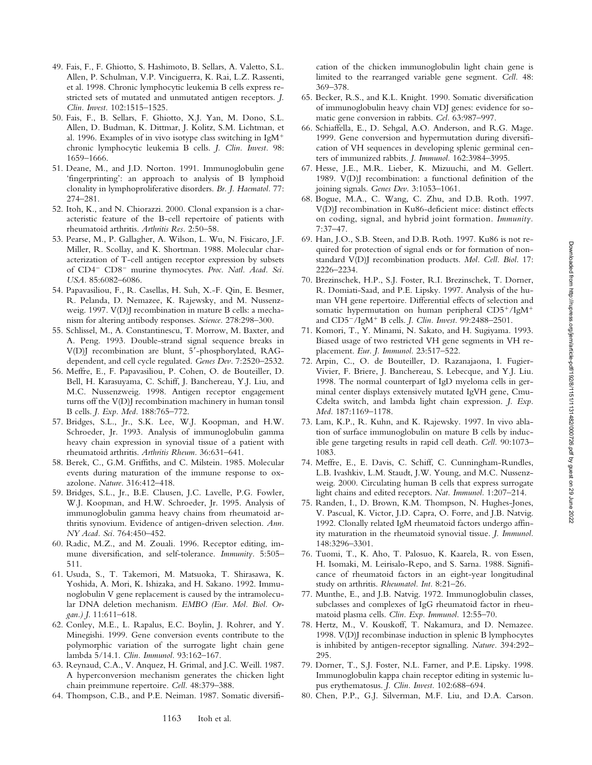Downloaded from http://rupress.org/jem/article-pdf/192/8/1151/1131482/000726.pdf by guest on 29 June 2022 Downloaded from http://rupress.org/jem/article-pdf/192/8/1151/1131482/000726.pdf by guest on 29 June 2022

- 49. Fais, F., F. Ghiotto, S. Hashimoto, B. Sellars, A. Valetto, S.L. Allen, P. Schulman, V.P. Vinciguerra, K. Rai, L.Z. Rassenti, et al. 1998. Chronic lymphocytic leukemia B cells express restricted sets of mutated and unmutated antigen receptors. *J. Clin. Invest.* 102:1515–1525.
- 50. Fais, F., B. Sellars, F. Ghiotto, X.J. Yan, M. Dono, S.L. Allen, D. Budman, K. Dittmar, J. Kolitz, S.M. Lichtman, et al. 1996. Examples of in vivo isotype class switching in IgM<sup>+</sup> chronic lymphocytic leukemia B cells. *J. Clin. Invest.* 98: 1659–1666.
- 51. Deane, M., and J.D. Norton. 1991. Immunoglobulin gene 'fingerprinting': an approach to analysis of B lymphoid clonality in lymphoproliferative disorders. *Br. J. Haematol.* 77: 274–281.
- 52. Itoh, K., and N. Chiorazzi. 2000. Clonal expansion is a characteristic feature of the B-cell repertoire of patients with rheumatoid arthritis. *Arthritis Res.* 2:50–58.
- 53. Pearse, M., P. Gallagher, A. Wilson, L. Wu, N. Fisicaro, J.F. Miller, R. Scollay, and K. Shortman. 1988. Molecular characterization of T-cell antigen receptor expression by subsets of CD4<sup>-</sup> CD8<sup>-</sup> murine thymocytes. Proc. Natl. Acad. Sci. *USA.* 85:6082–6086.
- 54. Papavasiliou, F., R. Casellas, H. Suh, X.-F. Qin, E. Besmer, R. Pelanda, D. Nemazee, K. Rajewsky, and M. Nussenzweig. 1997. V(D)J recombination in mature B cells: a mechanism for altering antibody responses. *Science.* 278:298–300.
- 55. Schlissel, M., A. Constantinescu, T. Morrow, M. Baxter, and A. Peng. 1993. Double-strand signal sequence breaks in V(D)J recombination are blunt, 5'-phosphorylated, RAGdependent, and cell cycle regulated. *Genes Dev.* 7:2520–2532.
- 56. Meffre, E., F. Papavasiliou, P. Cohen, O. de Bouteiller, D. Bell, H. Karasuyama, C. Schiff, J. Banchereau, Y.J. Liu, and M.C. Nussenzweig. 1998. Antigen receptor engagement turns off the V(D)J recombination machinery in human tonsil B cells. *J. Exp. Med.* 188:765–772.
- 57. Bridges, S.L., Jr., S.K. Lee, W.J. Koopman, and H.W. Schroeder, Jr. 1993. Analysis of immunoglobulin gamma heavy chain expression in synovial tissue of a patient with rheumatoid arthritis. *Arthritis Rheum.* 36:631–641.
- 58. Berek, C., G.M. Griffiths, and C. Milstein. 1985. Molecular events during maturation of the immune response to oxazolone. *Nature.* 316:412–418.
- 59. Bridges, S.L., Jr., B.E. Clausen, J.C. Lavelle, P.G. Fowler, W.J. Koopman, and H.W. Schroeder, Jr. 1995. Analysis of immunoglobulin gamma heavy chains from rheumatoid arthritis synovium. Evidence of antigen-driven selection. *Ann. NY Acad. Sci.* 764:450–452.
- 60. Radic, M.Z., and M. Zouali. 1996. Receptor editing, immune diversification, and self-tolerance. *Immunity.* 5:505– 511.
- 61. Usuda, S., T. Takemori, M. Matsuoka, T. Shirasawa, K. Yoshida, A. Mori, K. Ishizaka, and H. Sakano. 1992. Immunoglobulin V gene replacement is caused by the intramolecular DNA deletion mechanism. *EMBO (Eur. Mol. Biol. Organ.) J*. 11:611–618.
- 62. Conley, M.E., L. Rapalus, E.C. Boylin, J. Rohrer, and Y. Minegishi. 1999. Gene conversion events contribute to the polymorphic variation of the surrogate light chain gene lambda 5/14.1. *Clin. Immunol.* 93:162–167.
- 63. Reynaud, C.A., V. Anquez, H. Grimal, and J.C. Weill. 1987. A hyperconversion mechanism generates the chicken light chain preimmune repertoire. *Cell.* 48:379–388.
- 64. Thompson, C.B., and P.E. Neiman. 1987. Somatic diversifi-

cation of the chicken immunoglobulin light chain gene is limited to the rearranged variable gene segment. *Cell.* 48: 369–378.

- 65. Becker, R.S., and K.L. Knight. 1990. Somatic diversification of immunoglobulin heavy chain VDJ genes: evidence for somatic gene conversion in rabbits. *Cel.* 63:987–997.
- 66. Schiaffella, E., D. Sehgal, A.O. Anderson, and R.G. Mage. 1999. Gene conversion and hypermutation during diversification of VH sequences in developing splenic germinal centers of immunized rabbits. *J. Immunol.* 162:3984–3995.
- 67. Hesse, J.E., M.R. Lieber, K. Mizuuchi, and M. Gellert. 1989. V(D)J recombination: a functional definition of the joining signals. *Genes Dev.* 3:1053–1061.
- 68. Bogue, M.A., C. Wang, C. Zhu, and D.B. Roth. 1997. V(D)J recombination in Ku86-deficient mice: distinct effects on coding, signal, and hybrid joint formation. *Immunity.* 7:37–47.
- 69. Han, J.O., S.B. Steen, and D.B. Roth. 1997. Ku86 is not required for protection of signal ends or for formation of nonstandard V(D)J recombination products. *Mol. Cell. Biol.* 17: 2226–2234.
- 70. Brezinschek, H.P., S.J. Foster, R.I. Brezinschek, T. Dorner, R. Domiati-Saad, and P.E. Lipsky. 1997. Analysis of the human VH gene repertoire. Differential effects of selection and somatic hypermutation on human peripheral  $CD5^{+}/IgM^{+}$ and CD5<sup>2</sup>/IgM<sup>1</sup> B cells. *J. Clin. Invest.* 99:2488–2501.
- 71. Komori, T., Y. Minami, N. Sakato, and H. Sugiyama. 1993. Biased usage of two restricted VH gene segments in VH replacement. *Eur. J. Immunol.* 23:517–522.
- 72. Arpin, C., O. de Bouteiller, D. Razanajaona, I. Fugier-Vivier, F. Briere, J. Banchereau, S. Lebecque, and Y.J. Liu. 1998. The normal counterpart of IgD myeloma cells in germinal center displays extensively mutated IgVH gene, Cmu-Cdelta switch, and lambda light chain expression. *J. Exp. Med.* 187:1169–1178.
- 73. Lam, K.P., R. Kuhn, and K. Rajewsky. 1997. In vivo ablation of surface immunoglobulin on mature B cells by inducible gene targeting results in rapid cell death. *Cell.* 90:1073– 1083.
- 74. Meffre, E., E. Davis, C. Schiff, C. Cunningham-Rundles, L.B. Ivashkiv, L.M. Staudt, J.W. Young, and M.C. Nussenzweig. 2000. Circulating human B cells that express surrogate light chains and edited receptors. *Nat. Immunol.* 1:207–214.
- 75. Randen, I., D. Brown, K.M. Thompson, N. Hughes-Jones, V. Pascual, K. Victor, J.D. Capra, O. Forre, and J.B. Natvig. 1992. Clonally related IgM rheumatoid factors undergo affinity maturation in the rheumatoid synovial tissue. *J. Immunol.* 148:3296–3301.
- 76. Tuomi, T., K. Aho, T. Palosuo, K. Kaarela, R. von Essen, H. Isomaki, M. Leirisalo-Repo, and S. Sarna. 1988. Significance of rheumatoid factors in an eight-year longitudinal study on arthritis. *Rheumatol. Int.* 8:21–26.
- 77. Munthe, E., and J.B. Natvig. 1972. Immunoglobulin classes, subclasses and complexes of IgG rheumatoid factor in rheumatoid plasma cells. *Clin. Exp. Immunol.* 12:55–70.
- 78. Hertz, M., V. Kouskoff, T. Nakamura, and D. Nemazee. 1998. V(D)J recombinase induction in splenic B lymphocytes is inhibited by antigen-receptor signalling. *Nature.* 394:292– 295.
- 79. Dorner, T., S.J. Foster, N.L. Farner, and P.E. Lipsky. 1998. Immunoglobulin kappa chain receptor editing in systemic lupus erythematosus. *J. Clin. Invest.* 102:688–694.
- 80. Chen, P.P., G.J. Silverman, M.F. Liu, and D.A. Carson.